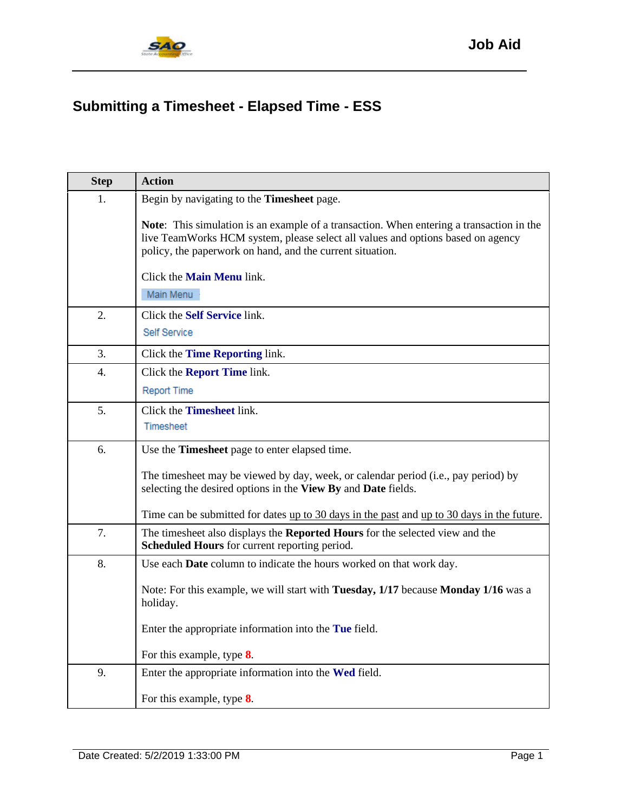

## **Submitting a Timesheet - Elapsed Time - ESS**

| <b>Step</b> | <b>Action</b>                                                                                                                                                                                                                                   |
|-------------|-------------------------------------------------------------------------------------------------------------------------------------------------------------------------------------------------------------------------------------------------|
| 1.          | Begin by navigating to the <b>Timesheet</b> page.                                                                                                                                                                                               |
|             | <b>Note:</b> This simulation is an example of a transaction. When entering a transaction in the<br>live TeamWorks HCM system, please select all values and options based on agency<br>policy, the paperwork on hand, and the current situation. |
|             | Click the <b>Main Menu</b> link.                                                                                                                                                                                                                |
|             | Main Menu                                                                                                                                                                                                                                       |
| 2.          | Click the Self Service link.<br>Self Service                                                                                                                                                                                                    |
| 3.          | Click the <b>Time Reporting</b> link.                                                                                                                                                                                                           |
| 4.          | Click the <b>Report Time</b> link.                                                                                                                                                                                                              |
|             | Report Time                                                                                                                                                                                                                                     |
| 5.          | Click the Timesheet link.<br>Timesheet                                                                                                                                                                                                          |
| 6.          | Use the Timesheet page to enter elapsed time.                                                                                                                                                                                                   |
|             | The timesheet may be viewed by day, week, or calendar period (i.e., pay period) by<br>selecting the desired options in the View By and Date fields.                                                                                             |
|             | Time can be submitted for dates <u>up to 30 days in the past</u> and <u>up to 30 days in the future</u> .                                                                                                                                       |
| 7.          | The timesheet also displays the Reported Hours for the selected view and the<br>Scheduled Hours for current reporting period.                                                                                                                   |
| 8.          | Use each <b>Date</b> column to indicate the hours worked on that work day.                                                                                                                                                                      |
|             | Note: For this example, we will start with Tuesday, 1/17 because Monday 1/16 was a<br>holiday.                                                                                                                                                  |
|             | Enter the appropriate information into the Tue field.                                                                                                                                                                                           |
|             | For this example, type 8.                                                                                                                                                                                                                       |
| 9.          | Enter the appropriate information into the Wed field.                                                                                                                                                                                           |
|             | For this example, type $8$ .                                                                                                                                                                                                                    |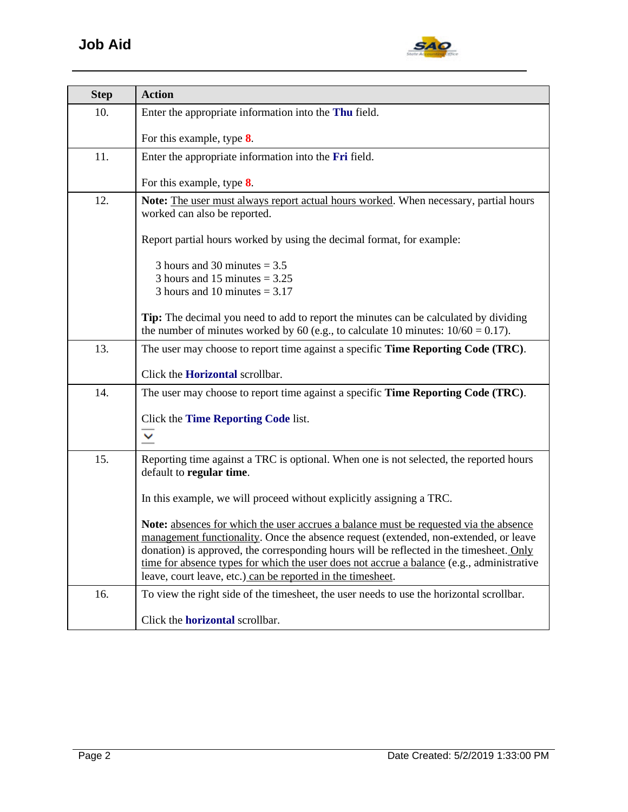

| <b>Step</b> | <b>Action</b>                                                                                                                                                                                                                                                                                                                                                                                                                        |
|-------------|--------------------------------------------------------------------------------------------------------------------------------------------------------------------------------------------------------------------------------------------------------------------------------------------------------------------------------------------------------------------------------------------------------------------------------------|
| 10.         | Enter the appropriate information into the Thu field.                                                                                                                                                                                                                                                                                                                                                                                |
|             | For this example, type $8$ .                                                                                                                                                                                                                                                                                                                                                                                                         |
| 11.         | Enter the appropriate information into the Fri field.                                                                                                                                                                                                                                                                                                                                                                                |
|             | For this example, type $8$ .                                                                                                                                                                                                                                                                                                                                                                                                         |
| 12.         | Note: The user must always report actual hours worked. When necessary, partial hours<br>worked can also be reported.                                                                                                                                                                                                                                                                                                                 |
|             | Report partial hours worked by using the decimal format, for example:                                                                                                                                                                                                                                                                                                                                                                |
|             | 3 hours and 30 minutes $= 3.5$<br>3 hours and 15 minutes $= 3.25$<br>3 hours and 10 minutes $= 3.17$                                                                                                                                                                                                                                                                                                                                 |
|             | <b>Tip:</b> The decimal you need to add to report the minutes can be calculated by dividing<br>the number of minutes worked by 60 (e.g., to calculate 10 minutes: $10/60 = 0.17$ ).                                                                                                                                                                                                                                                  |
| 13.         | The user may choose to report time against a specific <b>Time Reporting Code (TRC)</b> .                                                                                                                                                                                                                                                                                                                                             |
|             | Click the <b>Horizontal</b> scrollbar.                                                                                                                                                                                                                                                                                                                                                                                               |
| 14.         | The user may choose to report time against a specific <b>Time Reporting Code (TRC)</b> .                                                                                                                                                                                                                                                                                                                                             |
|             | Click the Time Reporting Code list.<br>$\checkmark$                                                                                                                                                                                                                                                                                                                                                                                  |
| 15.         | Reporting time against a TRC is optional. When one is not selected, the reported hours<br>default to regular time.                                                                                                                                                                                                                                                                                                                   |
|             | In this example, we will proceed without explicitly assigning a TRC.                                                                                                                                                                                                                                                                                                                                                                 |
|             | Note: absences for which the user accrues a balance must be requested via the absence<br>management functionality. Once the absence request (extended, non-extended, or leave<br>donation) is approved, the corresponding hours will be reflected in the timesheet. Only<br>time for absence types for which the user does not accrue a balance (e.g., administrative<br>leave, court leave, etc.) can be reported in the timesheet. |
| 16.         | To view the right side of the timesheet, the user needs to use the horizontal scrollbar.                                                                                                                                                                                                                                                                                                                                             |
|             | Click the <b>horizontal</b> scrollbar.                                                                                                                                                                                                                                                                                                                                                                                               |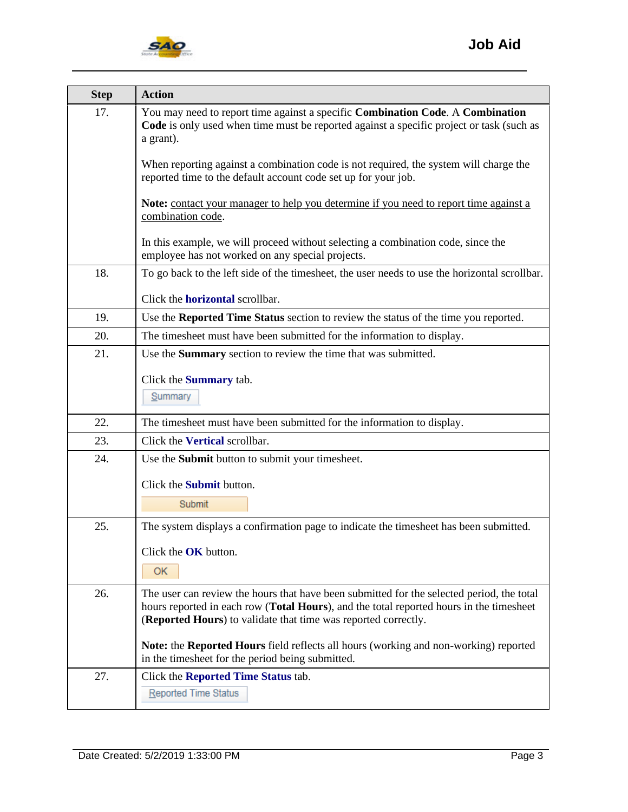

| <b>Step</b> | <b>Action</b>                                                                                                                                                                                                                                          |
|-------------|--------------------------------------------------------------------------------------------------------------------------------------------------------------------------------------------------------------------------------------------------------|
| 17.         | You may need to report time against a specific Combination Code. A Combination<br>Code is only used when time must be reported against a specific project or task (such as<br>a grant).                                                                |
|             | When reporting against a combination code is not required, the system will charge the<br>reported time to the default account code set up for your job.                                                                                                |
|             | <b>Note:</b> contact your manager to help you determine if you need to report time against a<br>combination code.                                                                                                                                      |
|             | In this example, we will proceed without selecting a combination code, since the<br>employee has not worked on any special projects.                                                                                                                   |
| 18.         | To go back to the left side of the timesheet, the user needs to use the horizontal scrollbar.                                                                                                                                                          |
|             | Click the <b>horizontal</b> scrollbar.                                                                                                                                                                                                                 |
| 19.         | Use the Reported Time Status section to review the status of the time you reported.                                                                                                                                                                    |
| 20.         | The timesheet must have been submitted for the information to display.                                                                                                                                                                                 |
| 21.         | Use the <b>Summary</b> section to review the time that was submitted.                                                                                                                                                                                  |
|             | Click the <b>Summary</b> tab.                                                                                                                                                                                                                          |
|             | Summary                                                                                                                                                                                                                                                |
| 22.         | The timesheet must have been submitted for the information to display.                                                                                                                                                                                 |
| 23.         | Click the Vertical scrollbar.                                                                                                                                                                                                                          |
| 24.         | Use the Submit button to submit your timesheet.                                                                                                                                                                                                        |
|             | Click the <b>Submit</b> button.                                                                                                                                                                                                                        |
|             | Submit                                                                                                                                                                                                                                                 |
| 25.         | The system displays a confirmation page to indicate the timesheet has been submitted.                                                                                                                                                                  |
|             | Click the OK button.                                                                                                                                                                                                                                   |
|             | ОК                                                                                                                                                                                                                                                     |
| 26.         | The user can review the hours that have been submitted for the selected period, the total<br>hours reported in each row (Total Hours), and the total reported hours in the timesheet<br>(Reported Hours) to validate that time was reported correctly. |
|             | Note: the Reported Hours field reflects all hours (working and non-working) reported<br>in the timesheet for the period being submitted.                                                                                                               |
| 27.         | Click the <b>Reported Time Status</b> tab.                                                                                                                                                                                                             |
|             | <b>Reported Time Status</b>                                                                                                                                                                                                                            |